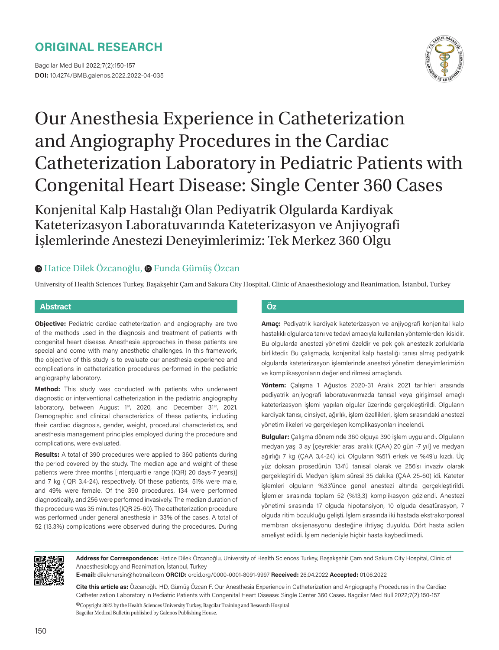# **ORIGINAL RESEARCH**

Bagcilar Med Bull 2022;7(2):150-157 **DOI:** 10.4274/BMB.galenos.2022.2022-04-035



# Our Anesthesia Experience in Catheterization and Angiography Procedures in the Cardiac Catheterization Laboratory in Pediatric Patients with Congenital Heart Disease: Single Center 360 Cases

Konjenital Kalp Hastalığı Olan Pediyatrik Olgularda Kardiyak Kateterizasyon Laboratuvarında Kateterizasyon ve Anjiyografi İşlemlerinde Anestezi Deneyimlerimiz: Tek Merkez 360 Olgu

## **⊕**Hatice Dilek Özcanoğlu, **.** Funda Gümüş Özcan

University of Health Sciences Turkey, Başakşehir Çam and Sakura City Hospital, Clinic of Anaesthesiology and Reanimation, İstanbul, Turkey

#### **Abstract Öz**

**Objective:** Pediatric cardiac catheterization and angiography are two of the methods used in the diagnosis and treatment of patients with congenital heart disease. Anesthesia approaches in these patients are special and come with many anesthetic challenges. In this framework, the objective of this study is to evaluate our anesthesia experience and complications in catheterization procedures performed in the pediatric angiography laboratory.

**Method:** This study was conducted with patients who underwent diagnostic or interventional catheterization in the pediatric angiography laboratory, between August 1<sup>st</sup>, 2020, and December 31<sup>st</sup>, 2021. Demographic and clinical characteristics of these patients, including their cardiac diagnosis, gender, weight, procedural characteristics, and anesthesia management principles employed during the procedure and complications, were evaluated.

**Results:** A total of 390 procedures were applied to 360 patients during the period covered by the study. The median age and weight of these patients were three months [interquartile range (IQR) 20 days-7 years)] and 7 kg (IQR 3.4-24), respectively. Of these patients, 51% were male, and 49% were female. Of the 390 procedures, 134 were performed diagnostically, and 256 were performed invasively. The median duration of the procedure was 35 minutes (IQR 25-60). The catheterization procedure was performed under general anesthesia in 33% of the cases. A total of 52 (13.3%) complications were observed during the procedures. During

**Amaç:** Pediyatrik kardiyak kateterizasyon ve anjiyografi konjenital kalp hastalıklı olgularda tanı ve tedavi amacıyla kullanılan yöntemlerden ikisidir. Bu olgularda anestezi yönetimi özeldir ve pek çok anestezik zorluklarla birliktedir. Bu çalışmada, konjenital kalp hastalığı tanısı almış pediyatrik olgularda kateterizasyon işlemlerinde anestezi yönetim deneyimlerimizin ve komplikasyonların değerlendirilmesi amaçlandı.

**Yöntem:** Çalışma 1 Ağustos 2020-31 Aralık 2021 tarihleri arasında pediyatrik anjiyografi laboratuvarımızda tanısal veya girişimsel amaçlı kateterizasyon işlemi yapılan olgular üzerinde gerçekleştirildi. Olguların kardiyak tanısı, cinsiyet, ağırlık, işlem özellikleri, işlem sırasındaki anestezi yönetim ilkeleri ve gerçekleşen komplikasyonları incelendi.

**Bulgular:** Çalışma döneminde 360 olguya 390 işlem uygulandı. Olguların medyan yaşı 3 ay [çeyrekler arası aralık (ÇAA) 20 gün -7 yıl] ve medyan ağırlığı 7 kg (ÇAA 3,4-24) idi. Olguların %51'i erkek ve %49'u kızdı. Üç yüz doksan prosedürün 134'ü tanısal olarak ve 256'sı invaziv olarak gerçekleştirildi. Medyan işlem süresi 35 dakika (ÇAA 25-60) idi. Kateter işlemleri olguların %33'ünde genel anestezi altında gerçekleştirildi. İşlemler sırasında toplam 52 (%13,3) komplikasyon gözlendi. Anestezi yönetimi sırasında 17 olguda hipotansiyon, 10 olguda desatürasyon, 7 olguda ritim bozukluğu gelişti. İşlem sırasında iki hastada ekstrakorporeal membran oksijenasyonu desteğine ihtiyaç duyuldu. Dört hasta acilen ameliyat edildi. İşlem nedeniyle hiçbir hasta kaybedilmedi.



**Address for Correspondence:** Hatice Dilek Özcanoğlu, University of Health Sciences Turkey, Başakşehir Çam and Sakura City Hospital, Clinic of Anaesthesiology and Reanimation, İstanbul, Turkey

**E-mail:** dilekmersin@hotmail.com **ORCID:** orcid.org/0000-0001-8091-9997 **Received:** 26.04.2022 **Accepted:** 01.06.2022

**Cite this article as:** Özcanoğlu HD, Gümüş Özcan F. Our Anesthesia Experience in Catheterization and Angiography Procedures in the Cardiac Catheterization Laboratory in Pediatric Patients with Congenital Heart Disease: Single Center 360 Cases. Bagcilar Med Bull 2022;7(2):150-157

©Copyright 2022 by the Health Sciences University Turkey, Bagcilar Training and Research Hospital Bagcilar Medical Bulletin published by Galenos Publishing House.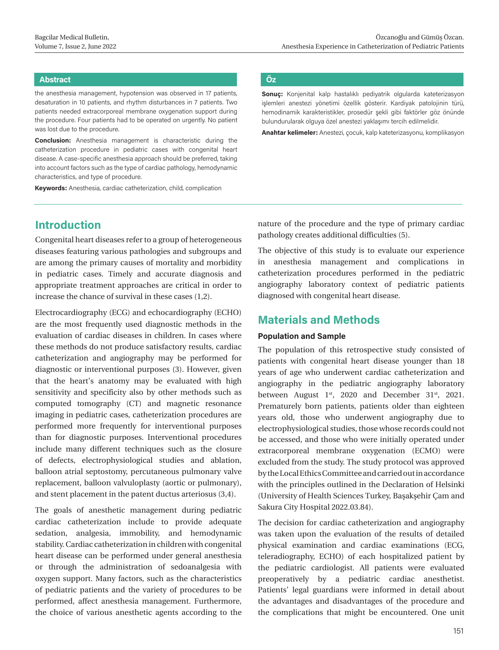#### **Abstract Öz**

the anesthesia management, hypotension was observed in 17 patients, desaturation in 10 patients, and rhythm disturbances in 7 patients. Two patients needed extracorporeal membrane oxygenation support during the procedure. Four patients had to be operated on urgently. No patient was lost due to the procedure.

**Conclusion:** Anesthesia management is characteristic during the catheterization procedure in pediatric cases with congenital heart disease. A case-specific anesthesia approach should be preferred, taking into account factors such as the type of cardiac pathology, hemodynamic characteristics, and type of procedure.

**Keywords:** Anesthesia, cardiac catheterization, child, complication

# **Introduction**

Congenital heart diseases refer to a group of heterogeneous diseases featuring various pathologies and subgroups and are among the primary causes of mortality and morbidity in pediatric cases. Timely and accurate diagnosis and appropriate treatment approaches are critical in order to increase the chance of survival in these cases (1,2).

Electrocardiography (ECG) and echocardiography (ECHO) are the most frequently used diagnostic methods in the evaluation of cardiac diseases in children. In cases where these methods do not produce satisfactory results, cardiac catheterization and angiography may be performed for diagnostic or interventional purposes (3). However, given that the heart's anatomy may be evaluated with high sensitivity and specificity also by other methods such as computed tomography (CT) and magnetic resonance imaging in pediatric cases, catheterization procedures are performed more frequently for interventional purposes than for diagnostic purposes. Interventional procedures include many different techniques such as the closure of defects, electrophysiological studies and ablation, balloon atrial septostomy, percutaneous pulmonary valve replacement, balloon valvuloplasty (aortic or pulmonary), and stent placement in the patent ductus arteriosus (3,4).

The goals of anesthetic management during pediatric cardiac catheterization include to provide adequate sedation, analgesia, immobility, and hemodynamic stability. Cardiac catheterization in children with congenital heart disease can be performed under general anesthesia or through the administration of sedoanalgesia with oxygen support. Many factors, such as the characteristics of pediatric patients and the variety of procedures to be performed, affect anesthesia management. Furthermore, the choice of various anesthetic agents according to the

**Sonuç:** Konjenital kalp hastalıklı pediyatrik olgularda kateterizasyon işlemleri anestezi yönetimi özellik gösterir. Kardiyak patolojinin türü, hemodinamik karakteristikler, prosedür şekli gibi faktörler göz önünde bulundurularak olguya özel anestezi yaklaşımı tercih edilmelidir.

**Anahtar kelimeler:** Anestezi, çocuk, kalp kateterizasyonu, komplikasyon

nature of the procedure and the type of primary cardiac pathology creates additional difficulties (5).

The objective of this study is to evaluate our experience in anesthesia management and complications in catheterization procedures performed in the pediatric angiography laboratory context of pediatric patients diagnosed with congenital heart disease.

# **Materials and Methods**

#### **Population and Sample**

The population of this retrospective study consisted of patients with congenital heart disease younger than 18 years of age who underwent cardiac catheterization and angiography in the pediatric angiography laboratory between August 1<sup>st</sup>, 2020 and December 31<sup>st</sup>, 2021. Prematurely born patients, patients older than eighteen years old, those who underwent angiography due to electrophysiological studies, those whose records could not be accessed, and those who were initially operated under extracorporeal membrane oxygenation (ECMO) were excluded from the study. The study protocol was approved by the Local Ethics Committee and carried out in accordance with the principles outlined in the Declaration of Helsinki (University of Health Sciences Turkey, Başakşehir Çam and Sakura City Hospital 2022.03.84).

The decision for cardiac catheterization and angiography was taken upon the evaluation of the results of detailed physical examination and cardiac examinations (ECG, teleradiography, ECHO) of each hospitalized patient by the pediatric cardiologist. All patients were evaluated preoperatively by a pediatric cardiac anesthetist. Patients' legal guardians were informed in detail about the advantages and disadvantages of the procedure and the complications that might be encountered. One unit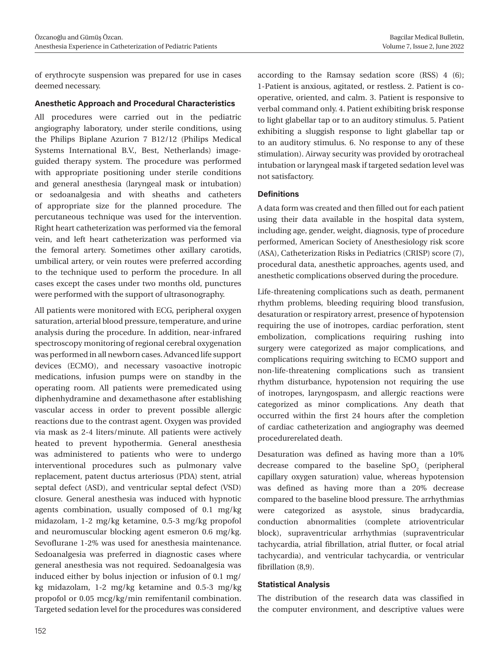of erythrocyte suspension was prepared for use in cases deemed necessary.

#### **Anesthetic Approach and Procedural Characteristics**

All procedures were carried out in the pediatric angiography laboratory, under sterile conditions, using the Philips Biplane Azurion 7 B12/12 (Philips Medical Systems International B.V., Best, Netherlands) imageguided therapy system. The procedure was performed with appropriate positioning under sterile conditions and general anesthesia (laryngeal mask or intubation) or sedoanalgesia and with sheaths and catheters of appropriate size for the planned procedure. The percutaneous technique was used for the intervention. Right heart catheterization was performed via the femoral vein, and left heart catheterization was performed via the femoral artery. Sometimes other axillary carotids, umbilical artery, or vein routes were preferred according to the technique used to perform the procedure. In all cases except the cases under two months old, punctures were performed with the support of ultrasonography.

All patients were monitored with ECG, peripheral oxygen saturation, arterial blood pressure, temperature, and urine analysis during the procedure. In addition, near-infrared spectroscopy monitoring of regional cerebral oxygenation was performed in all newborn cases. Advanced life support devices (ECMO), and necessary vasoactive inotropic medications, infusion pumps were on standby in the operating room. All patients were premedicated using diphenhydramine and dexamethasone after establishing vascular access in order to prevent possible allergic reactions due to the contrast agent. Oxygen was provided via mask as 2-4 liters/minute. All patients were actively heated to prevent hypothermia. General anesthesia was administered to patients who were to undergo interventional procedures such as pulmonary valve replacement, patent ductus arteriosus (PDA) stent, atrial septal defect (ASD), and ventricular septal defect (VSD) closure. General anesthesia was induced with hypnotic agents combination, usually composed of 0.1 mg/kg midazolam, 1-2 mg/kg ketamine, 0.5-3 mg/kg propofol and neuromuscular blocking agent esmeron 0.6 mg/kg. Sevoflurane 1-2% was used for anesthesia maintenance. Sedoanalgesia was preferred in diagnostic cases where general anesthesia was not required. Sedoanalgesia was induced either by bolus injection or infusion of 0.1 mg/ kg midazolam, 1-2 mg/kg ketamine and 0.5-3 mg/kg propofol or 0.05 mcg/kg/min remifentanil combination. Targeted sedation level for the procedures was considered according to the Ramsay sedation score (RSS) 4 (6); 1-Patient is anxious, agitated, or restless. 2. Patient is cooperative, oriented, and calm. 3. Patient is responsive to verbal command only. 4. Patient exhibiting brisk response to light glabellar tap or to an auditory stimulus. 5. Patient exhibiting a sluggish response to light glabellar tap or to an auditory stimulus. 6. No response to any of these stimulation). Airway security was provided by orotracheal intubation or laryngeal mask if targeted sedation level was not satisfactory.

#### **Definitions**

A data form was created and then filled out for each patient using their data available in the hospital data system, including age, gender, weight, diagnosis, type of procedure performed, American Society of Anesthesiology risk score (ASA), Catheterization Risks in Pediatrics (CRISP) score (7), procedural data, anesthetic approaches, agents used, and anesthetic complications observed during the procedure.

Life-threatening complications such as death, permanent rhythm problems, bleeding requiring blood transfusion, desaturation or respiratory arrest, presence of hypotension requiring the use of inotropes, cardiac perforation, stent embolization, complications requiring rushing into surgery were categorized as major complications, and complications requiring switching to ECMO support and non-life-threatening complications such as transient rhythm disturbance, hypotension not requiring the use of inotropes, laryngospasm, and allergic reactions were categorized as minor complications. Any death that occurred within the first 24 hours after the completion of cardiac catheterization and angiography was deemed procedurerelated death.

Desaturation was defined as having more than a 10% decrease compared to the baseline  $SpO<sub>2</sub>$  (peripheral capillary oxygen saturation) value, whereas hypotension was defined as having more than a 20% decrease compared to the baseline blood pressure. The arrhythmias were categorized as asystole, sinus bradycardia, conduction abnormalities (complete atrioventricular block), supraventricular arrhythmias (supraventricular tachycardia, atrial fibrillation, atrial flutter, or focal atrial tachycardia), and ventricular tachycardia, or ventricular fibrillation (8,9).

#### **Statistical Analysis**

The distribution of the research data was classified in the computer environment, and descriptive values were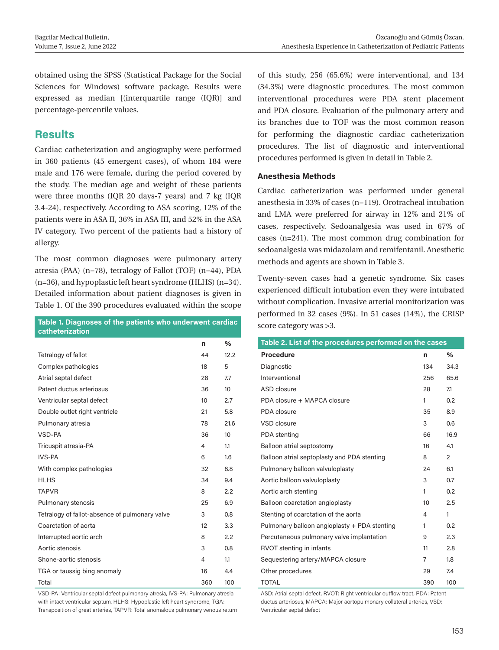obtained using the SPSS (Statistical Package for the Social Sciences for Windows) software package. Results were expressed as median [(interquartile range (IQR)] and percentage-percentile values.

# **Results**

Cardiac catheterization and angiography were performed in 360 patients (45 emergent cases), of whom 184 were male and 176 were female, during the period covered by the study. The median age and weight of these patients were three months (IQR 20 days-7 years) and 7 kg (IQR 3.4-24), respectively. According to ASA scoring, 12% of the patients were in ASA II, 36% in ASA III, and 52% in the ASA IV category. Two percent of the patients had a history of allergy.

The most common diagnoses were pulmonary artery atresia (PAA) (n=78), tetralogy of Fallot (TOF) (n=44), PDA (n=36), and hypoplastic left heart syndrome (HLHS) (n=34). Detailed information about patient diagnoses is given in Table 1. Of the 390 procedures evaluated within the scope

| rable i. Diagnoses of the patients who underwent cardiac<br>catheterization |     |      |
|-----------------------------------------------------------------------------|-----|------|
|                                                                             | n   | $\%$ |
| Tetralogy of fallot                                                         | 44  | 12.2 |
| Complex pathologies                                                         | 18  | 5    |
| Atrial septal defect                                                        | 28  | 7.7  |
| Patent ductus arteriosus                                                    | 36  | 10   |
| Ventricular septal defect                                                   | 10  | 2.7  |
| Double outlet right ventricle                                               | 21  | 5.8  |
| Pulmonary atresia                                                           | 78  | 21.6 |
| VSD-PA                                                                      | 36  | 10   |
| Tricuspit atresia-PA                                                        | 4   | 1.1  |
| IVS-PA                                                                      | 6   | 1.6  |
| With complex pathologies                                                    | 32  | 8.8  |
| <b>HLHS</b>                                                                 | 34  | 9.4  |
| <b>TAPVR</b>                                                                | 8   | 2.2  |
| Pulmonary stenosis                                                          | 25  | 6.9  |
| Tetralogy of fallot-absence of pulmonary valve                              | 3   | 0.8  |
| Coarctation of aorta                                                        | 12  | 3.3  |
| Interrupted aortic arch                                                     | 8   | 2.2  |
| Aortic stenosis                                                             | 3   | 0.8  |
| Shone-aortic stenosis                                                       | 4   | 1.1  |
| TGA or taussig bing anomaly                                                 | 16  | 4.4  |
| Total                                                                       | 360 | 100  |

VSD-PA: Ventricular septal defect pulmonary atresia, IVS-PA: Pulmonary atresia with intact ventricular septum, HLHS: Hypoplastic left heart syndrome, TGA: Transposition of great arteries, TAPVR: Total anomalous pulmonary venous return of this study, 256 (65.6%) were interventional, and 134 (34.3%) were diagnostic procedures. The most common interventional procedures were PDA stent placement and PDA closure. Evaluation of the pulmonary artery and its branches due to TOF was the most common reason for performing the diagnostic cardiac catheterization procedures. The list of diagnostic and interventional procedures performed is given in detail in Table 2.

### **Anesthesia Methods**

Cardiac catheterization was performed under general anesthesia in 33% of cases (n=119). Orotracheal intubation and LMA were preferred for airway in 12% and 21% of cases, respectively. Sedoanalgesia was used in 67% of cases (n=241). The most common drug combination for sedoanalgesia was midazolam and remifentanil. Anesthetic methods and agents are shown in Table 3.

Twenty-seven cases had a genetic syndrome. Six cases experienced difficult intubation even they were intubated without complication. Invasive arterial monitorization was performed in 32 cases (9%). In 51 cases (14%), the CRISP score category was >3.

| Table 2. List of the procedures performed on the cases |     |      |  |  |  |  |
|--------------------------------------------------------|-----|------|--|--|--|--|
| <b>Procedure</b>                                       | n   | %    |  |  |  |  |
| Diagnostic                                             | 134 | 34.3 |  |  |  |  |
| Interventional                                         | 256 | 65.6 |  |  |  |  |
| ASD closure                                            | 28  | 7.1  |  |  |  |  |
| PDA closure + MAPCA closure                            | 1   | 0.2  |  |  |  |  |
| PDA closure                                            | 35  | 8.9  |  |  |  |  |
| VSD closure                                            | 3   | 0.6  |  |  |  |  |
| PDA stenting                                           | 66  | 16.9 |  |  |  |  |
| Balloon atrial septostomy                              | 16  | 4.1  |  |  |  |  |
| Balloon atrial septoplasty and PDA stenting            | 8   | 2    |  |  |  |  |
| Pulmonary balloon valvuloplasty                        |     | 6.1  |  |  |  |  |
| Aortic balloon valvuloplasty                           | 3   | 0.7  |  |  |  |  |
| Aortic arch stenting                                   | 1   | 0.2  |  |  |  |  |
| Balloon coarctation angioplasty                        | 10  | 2.5  |  |  |  |  |
| Stenting of coarctation of the aorta                   | 4   | 1    |  |  |  |  |
| Pulmonary balloon angioplasty + PDA stenting           | 1   | 0.2  |  |  |  |  |
| Percutaneous pulmonary valve implantation              | 9   | 2.3  |  |  |  |  |
| RVOT stenting in infants                               | 11  | 2.8  |  |  |  |  |
| Sequestering artery/MAPCA closure                      | 7   | 1.8  |  |  |  |  |
| Other procedures                                       | 29  | 7.4  |  |  |  |  |
| <b>TOTAL</b>                                           | 390 | 100  |  |  |  |  |

ASD: Atrial septal defect, RVOT: Right ventricular outflow tract, PDA: Patent ductus arteriosus, MAPCA: Major aortopulmonary collateral arteries, VSD: Ventricular septal defect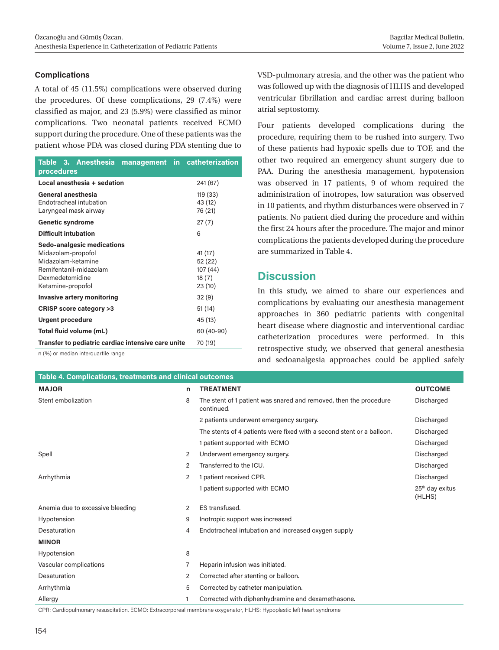#### **Complications**

A total of 45 (11.5%) complications were observed during the procedures. Of these complications, 29 (7.4%) were classified as major, and 23 (5.9%) were classified as minor complications. Two neonatal patients received ECMO support during the procedure. One of these patients was the patient whose PDA was closed during PDA stenting due to

| Table 3. Anesthesia<br>procedures                                                                                                        | management in catheterization                     |
|------------------------------------------------------------------------------------------------------------------------------------------|---------------------------------------------------|
| Local anesthesia + sedation                                                                                                              | 241 (67)                                          |
| General anesthesia<br>Endotracheal intubation<br>Laryngeal mask airway                                                                   | 119 (33)<br>43 (12)<br>76 (21)                    |
| <b>Genetic syndrome</b>                                                                                                                  | 27(7)                                             |
| <b>Difficult intubation</b>                                                                                                              | 6                                                 |
| Sedo-analgesic medications<br>Midazolam-propofol<br>Midazolam-ketamine<br>Remifentanil-midazolam<br>Dexmedetomidine<br>Ketamine-propofol | 41 (17)<br>52 (22)<br>107(44)<br>18(7)<br>23 (10) |
| Invasive artery monitoring                                                                                                               | 32(9)                                             |
| CRISP score category >3                                                                                                                  | 51 (14)                                           |
| <b>Urgent procedure</b>                                                                                                                  | 45 (13)                                           |
| Total fluid volume (mL)                                                                                                                  | 60 (40-90)                                        |
| Transfer to pediatric cardiac intensive care unite                                                                                       | 70 (19)                                           |

n (%) or median interquartile range

VSD-pulmonary atresia, and the other was the patient who was followed up with the diagnosis of HLHS and developed ventricular fibrillation and cardiac arrest during balloon atrial septostomy.

Four patients developed complications during the procedure, requiring them to be rushed into surgery. Two of these patients had hypoxic spells due to TOF, and the other two required an emergency shunt surgery due to PAA. During the anesthesia management, hypotension was observed in 17 patients, 9 of whom required the administration of inotropes, low saturation was observed in 10 patients, and rhythm disturbances were observed in 7 patients. No patient died during the procedure and within the first 24 hours after the procedure. The major and minor complications the patients developed during the procedure are summarized in Table 4.

# **Discussion**

In this study, we aimed to share our experiences and complications by evaluating our anesthesia management approaches in 360 pediatric patients with congenital heart disease where diagnostic and interventional cardiac catheterization procedures were performed. In this retrospective study, we observed that general anesthesia and sedoanalgesia approaches could be applied safely

| <b>Table 4. Complications, treatments and clinical outcomes</b> |   |                                                                                 |                                       |  |  |  |
|-----------------------------------------------------------------|---|---------------------------------------------------------------------------------|---------------------------------------|--|--|--|
| <b>MAJOR</b>                                                    | n | <b>TREATMENT</b>                                                                | <b>OUTCOME</b>                        |  |  |  |
| Stent embolization                                              | 8 | The stent of 1 patient was snared and removed, then the procedure<br>continued. | Discharged                            |  |  |  |
|                                                                 |   | 2 patients underwent emergency surgery.                                         | Discharged                            |  |  |  |
|                                                                 |   | The stents of 4 patients were fixed with a second stent or a balloon.           | Discharged                            |  |  |  |
|                                                                 |   | 1 patient supported with ECMO                                                   | Discharged                            |  |  |  |
| Spell                                                           | 2 | Underwent emergency surgery.                                                    | Discharged                            |  |  |  |
|                                                                 | 2 | Transferred to the ICU.                                                         | Discharged                            |  |  |  |
| Arrhythmia                                                      | 2 | 1 patient received CPR.                                                         | Discharged                            |  |  |  |
|                                                                 |   | 1 patient supported with ECMO                                                   | 25 <sup>th</sup> day exitus<br>(HLHS) |  |  |  |
| Anemia due to excessive bleeding                                | 2 | ES transfused.                                                                  |                                       |  |  |  |
| Hypotension                                                     | 9 | Inotropic support was increased                                                 |                                       |  |  |  |
| Desaturation                                                    | 4 | Endotracheal intubation and increased oxygen supply                             |                                       |  |  |  |
| <b>MINOR</b>                                                    |   |                                                                                 |                                       |  |  |  |
| Hypotension                                                     | 8 |                                                                                 |                                       |  |  |  |
| Vascular complications                                          | 7 | Heparin infusion was initiated.                                                 |                                       |  |  |  |
| Desaturation                                                    | 2 | Corrected after stenting or balloon.                                            |                                       |  |  |  |
| Arrhythmia                                                      | 5 | Corrected by catheter manipulation.                                             |                                       |  |  |  |
| Allergy                                                         |   | Corrected with diphenhydramine and dexamethasone.                               |                                       |  |  |  |

CPR: Cardiopulmonary resuscitation, ECMO: Extracorporeal membrane oxygenator, HLHS: Hypoplastic left heart syndrome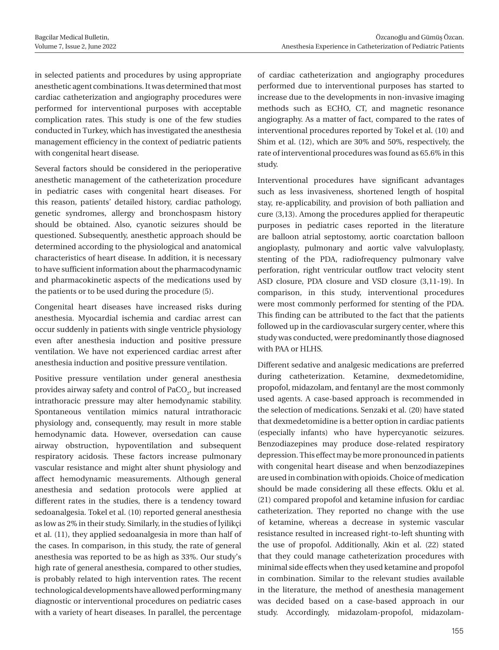in selected patients and procedures by using appropriate anesthetic agent combinations. It was determined that most cardiac catheterization and angiography procedures were performed for interventional purposes with acceptable complication rates. This study is one of the few studies conducted in Turkey, which has investigated the anesthesia management efficiency in the context of pediatric patients with congenital heart disease.

Several factors should be considered in the perioperative anesthetic management of the catheterization procedure in pediatric cases with congenital heart diseases. For this reason, patients' detailed history, cardiac pathology, genetic syndromes, allergy and bronchospasm history should be obtained. Also, cyanotic seizures should be questioned. Subsequently, anesthetic approach should be determined according to the physiological and anatomical characteristics of heart disease. In addition, it is necessary to have sufficient information about the pharmacodynamic and pharmacokinetic aspects of the medications used by the patients or to be used during the procedure (5).

Congenital heart diseases have increased risks during anesthesia. Myocardial ischemia and cardiac arrest can occur suddenly in patients with single ventricle physiology even after anesthesia induction and positive pressure ventilation. We have not experienced cardiac arrest after anesthesia induction and positive pressure ventilation.

Positive pressure ventilation under general anesthesia provides airway safety and control of  $\text{PaCO}_2$ , but increased intrathoracic pressure may alter hemodynamic stability. Spontaneous ventilation mimics natural intrathoracic physiology and, consequently, may result in more stable hemodynamic data. However, oversedation can cause airway obstruction, hypoventilation and subsequent respiratory acidosis. These factors increase pulmonary vascular resistance and might alter shunt physiology and affect hemodynamic measurements. Although general anesthesia and sedation protocols were applied at different rates in the studies, there is a tendency toward sedoanalgesia. Tokel et al. (10) reported general anesthesia as low as 2% in their study. Similarly, in the studies of İyilikçi et al. (11), they applied sedoanalgesia in more than half of the cases. In comparison, in this study, the rate of general anesthesia was reported to be as high as 33%. Our study's high rate of general anesthesia, compared to other studies, is probably related to high intervention rates. The recent technological developments have allowed performing many diagnostic or interventional procedures on pediatric cases with a variety of heart diseases. In parallel, the percentage

of cardiac catheterization and angiography procedures performed due to interventional purposes has started to increase due to the developments in non-invasive imaging methods such as ECHO, CT, and magnetic resonance angiography. As a matter of fact, compared to the rates of interventional procedures reported by Tokel et al. (10) and Shim et al. (12), which are 30% and 50%, respectively, the rate of interventional procedures was found as 65.6% in this study.

Interventional procedures have significant advantages such as less invasiveness, shortened length of hospital stay, re-applicability, and provision of both palliation and cure (3,13). Among the procedures applied for therapeutic purposes in pediatric cases reported in the literature are balloon atrial septostomy, aortic coarctation balloon angioplasty, pulmonary and aortic valve valvuloplasty, stenting of the PDA, radiofrequency pulmonary valve perforation, right ventricular outflow tract velocity stent ASD closure, PDA closure and VSD closure (3,11-19). In comparison, in this study, interventional procedures were most commonly performed for stenting of the PDA. This finding can be attributed to the fact that the patients followed up in the cardiovascular surgery center, where this study was conducted, were predominantly those diagnosed with PAA or HLHS.

Different sedative and analgesic medications are preferred during catheterization. Ketamine, dexmedetomidine, propofol, midazolam, and fentanyl are the most commonly used agents. A case-based approach is recommended in the selection of medications. Senzaki et al. (20) have stated that dexmedetomidine is a better option in cardiac patients (especially infants) who have hypercyanotic seizures. Benzodiazepines may produce dose-related respiratory depression. This effect may be more pronounced in patients with congenital heart disease and when benzodiazepines are used in combination with opioids. Choice of medication should be made considering all these effects. Oklu et al. (21) compared propofol and ketamine infusion for cardiac catheterization. They reported no change with the use of ketamine, whereas a decrease in systemic vascular resistance resulted in increased right-to-left shunting with the use of propofol. Additionally, Akin et al. (22) stated that they could manage catheterization procedures with minimal side effects when they used ketamine and propofol in combination. Similar to the relevant studies available in the literature, the method of anesthesia management was decided based on a case-based approach in our study. Accordingly, midazolam-propofol, midazolam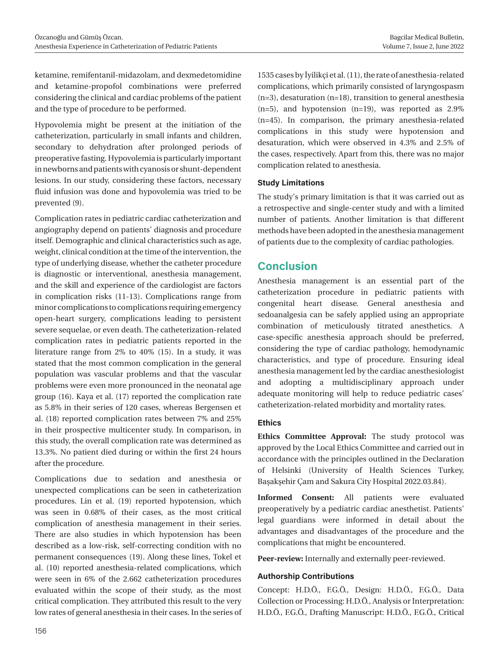ketamine, remifentanil-midazolam, and dexmedetomidine and ketamine-propofol combinations were preferred considering the clinical and cardiac problems of the patient and the type of procedure to be performed.

Hypovolemia might be present at the initiation of the catheterization, particularly in small infants and children, secondary to dehydration after prolonged periods of preoperative fasting. Hypovolemia is particularly important in newborns and patients with cyanosis or shunt-dependent lesions. In our study, considering these factors, necessary fluid infusion was done and hypovolemia was tried to be prevented (9).

Complication rates in pediatric cardiac catheterization and angiography depend on patients' diagnosis and procedure itself. Demographic and clinical characteristics such as age, weight, clinical condition at the time of the intervention, the type of underlying disease, whether the catheter procedure is diagnostic or interventional, anesthesia management, and the skill and experience of the cardiologist are factors in complication risks (11-13). Complications range from minor complications to complications requiring emergency open-heart surgery, complications leading to persistent severe sequelae, or even death. The catheterization-related complication rates in pediatric patients reported in the literature range from 2% to 40% (15). In a study, it was stated that the most common complication in the general population was vascular problems and that the vascular problems were even more pronounced in the neonatal age group (16). Kaya et al. (17) reported the complication rate as 5.8% in their series of 120 cases, whereas Bergensen et al. (18) reported complication rates between 7% and 25% in their prospective multicenter study. In comparison, in this study, the overall complication rate was determined as 13.3%. No patient died during or within the first 24 hours after the procedure.

Complications due to sedation and anesthesia or unexpected complications can be seen in catheterization procedures. Lin et al. (19) reported hypotension, which was seen in 0.68% of their cases, as the most critical complication of anesthesia management in their series. There are also studies in which hypotension has been described as a low-risk, self-correcting condition with no permanent consequences (19). Along these lines, Tokel et al. (10) reported anesthesia-related complications, which were seen in 6% of the 2.662 catheterization procedures evaluated within the scope of their study, as the most critical complication. They attributed this result to the very low rates of general anesthesia in their cases. In the series of 1535 cases by İyilikçi et al. (11), the rate of anesthesia-related complications, which primarily consisted of laryngospasm (n=3), desaturation (n=18), transition to general anesthesia (n=5), and hypotension (n=19), was reported as 2.9% (n=45). In comparison, the primary anesthesia-related complications in this study were hypotension and desaturation, which were observed in 4.3% and 2.5% of the cases, respectively. Apart from this, there was no major complication related to anesthesia.

### **Study Limitations**

The study's primary limitation is that it was carried out as a retrospective and single-center study and with a limited number of patients. Another limitation is that different methods have been adopted in the anesthesia management of patients due to the complexity of cardiac pathologies.

# **Conclusion**

Anesthesia management is an essential part of the catheterization procedure in pediatric patients with congenital heart disease. General anesthesia and sedoanalgesia can be safely applied using an appropriate combination of meticulously titrated anesthetics. A case-specific anesthesia approach should be preferred, considering the type of cardiac pathology, hemodynamic characteristics, and type of procedure. Ensuring ideal anesthesia management led by the cardiac anesthesiologist and adopting a multidisciplinary approach under adequate monitoring will help to reduce pediatric cases' catheterization-related morbidity and mortality rates.

### **Ethics**

**Ethics Committee Approval:** The study protocol was approved by the Local Ethics Committee and carried out in accordance with the principles outlined in the Declaration of Helsinki (University of Health Sciences Turkey, Başakşehir Çam and Sakura City Hospital 2022.03.84).

**Informed Consent:** All patients were evaluated preoperatively by a pediatric cardiac anesthetist. Patients' legal guardians were informed in detail about the advantages and disadvantages of the procedure and the complications that might be encountered.

**Peer-review:** Internally and externally peer-reviewed.

#### **Authorship Contributions**

Concept: H.D.Ö., F.G.Ö., Design: H.D.Ö., F.G.Ö., Data Collection or Processing: H.D.Ö., Analysis or Interpretation: H.D.Ö., F.G.Ö., Drafting Manuscript: H.D.Ö., F.G.Ö., Critical